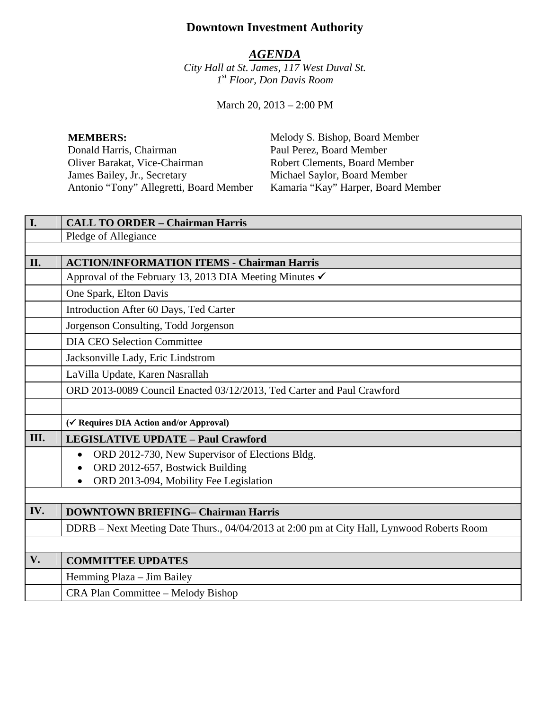# **Downtown Investment Authority**

# *AGENDA*

*City Hall at St. James, 117 West Duval St. 1st Floor, Don Davis Room* 

March 20, 2013 – 2:00 PM

Oliver Barakat, Vice-Chairman Robert Clements, Board Member<br>
James Bailey, Jr., Secretary Michael Saylor, Board Member James Bailey, Jr., Secretary Michael Saylor, Board Member Antonio "Tony" Allegretti, Board Member Kamaria "Kay" Harper, Board Member

**MEMBERS:** Melody S. Bishop, Board Member<br>
Donald Harris, Chairman Paul Perez, Board Member Paul Perez, Board Member

| I.   | <b>CALL TO ORDER - Chairman Harris</b>                                                    |
|------|-------------------------------------------------------------------------------------------|
|      | Pledge of Allegiance                                                                      |
|      |                                                                                           |
| II.  | <b>ACTION/INFORMATION ITEMS - Chairman Harris</b>                                         |
|      | Approval of the February 13, 2013 DIA Meeting Minutes $\checkmark$                        |
|      | One Spark, Elton Davis                                                                    |
|      | Introduction After 60 Days, Ted Carter                                                    |
|      | Jorgenson Consulting, Todd Jorgenson                                                      |
|      | <b>DIA CEO Selection Committee</b>                                                        |
|      | Jacksonville Lady, Eric Lindstrom                                                         |
|      | LaVilla Update, Karen Nasrallah                                                           |
|      | ORD 2013-0089 Council Enacted 03/12/2013, Ted Carter and Paul Crawford                    |
|      |                                                                                           |
|      | (√ Requires DIA Action and/or Approval)                                                   |
| III. | <b>LEGISLATIVE UPDATE - Paul Crawford</b>                                                 |
|      | ORD 2012-730, New Supervisor of Elections Bldg.                                           |
|      | ORD 2012-657, Bostwick Building                                                           |
|      | ORD 2013-094, Mobility Fee Legislation                                                    |
|      |                                                                                           |
| IV.  | <b>DOWNTOWN BRIEFING- Chairman Harris</b>                                                 |
|      | DDRB - Next Meeting Date Thurs., 04/04/2013 at 2:00 pm at City Hall, Lynwood Roberts Room |
|      |                                                                                           |
| V.   | <b>COMMITTEE UPDATES</b>                                                                  |
|      | Hemming Plaza – Jim Bailey                                                                |
|      | CRA Plan Committee – Melody Bishop                                                        |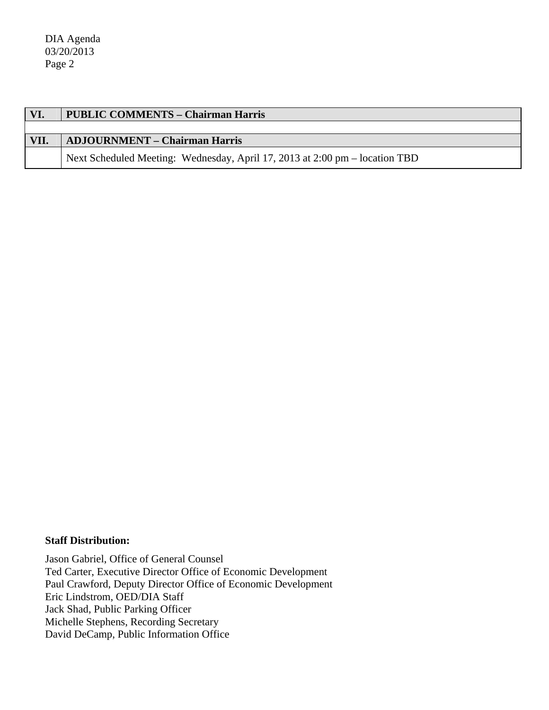DIA Agenda 03/20/2013 Page 2

| VI.  | <b>PUBLIC COMMENTS – Chairman Harris</b> |
|------|------------------------------------------|
|      |                                          |
| VII. | <b>ADJOURNMENT – Chairman Harris</b>     |
|      |                                          |

#### **Staff Distribution:**

Jason Gabriel, Office of General Counsel Ted Carter, Executive Director Office of Economic Development Paul Crawford, Deputy Director Office of Economic Development Eric Lindstrom, OED/DIA Staff Jack Shad, Public Parking Officer Michelle Stephens, Recording Secretary David DeCamp, Public Information Office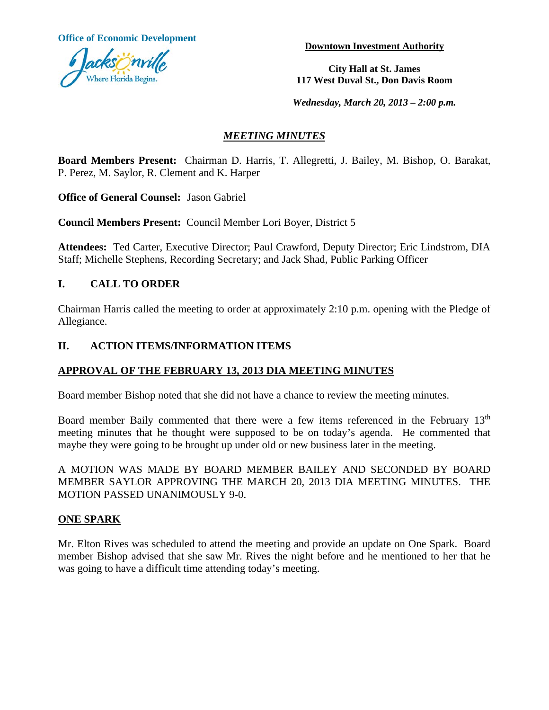**Office of Economic Development Downtown Investment Authority** 



**City Hall at St. James 117 West Duval St., Don Davis Room**

*Wednesday, March 20, 2013 – 2:00 p.m.*

# *MEETING MINUTES*

**Board Members Present:** Chairman D. Harris, T. Allegretti, J. Bailey, M. Bishop, O. Barakat, P. Perez, M. Saylor, R. Clement and K. Harper

**Office of General Counsel:** Jason Gabriel

**Council Members Present:** Council Member Lori Boyer, District 5

**Attendees:** Ted Carter, Executive Director; Paul Crawford, Deputy Director; Eric Lindstrom, DIA Staff; Michelle Stephens, Recording Secretary; and Jack Shad, Public Parking Officer

# **I. CALL TO ORDER**

Chairman Harris called the meeting to order at approximately 2:10 p.m. opening with the Pledge of Allegiance.

# **II. ACTION ITEMS/INFORMATION ITEMS**

# **APPROVAL OF THE FEBRUARY 13, 2013 DIA MEETING MINUTES**

Board member Bishop noted that she did not have a chance to review the meeting minutes.

Board member Baily commented that there were a few items referenced in the February 13<sup>th</sup> meeting minutes that he thought were supposed to be on today's agenda. He commented that maybe they were going to be brought up under old or new business later in the meeting.

A MOTION WAS MADE BY BOARD MEMBER BAILEY AND SECONDED BY BOARD MEMBER SAYLOR APPROVING THE MARCH 20, 2013 DIA MEETING MINUTES. THE MOTION PASSED UNANIMOUSLY 9-0.

# **ONE SPARK**

Mr. Elton Rives was scheduled to attend the meeting and provide an update on One Spark. Board member Bishop advised that she saw Mr. Rives the night before and he mentioned to her that he was going to have a difficult time attending today's meeting.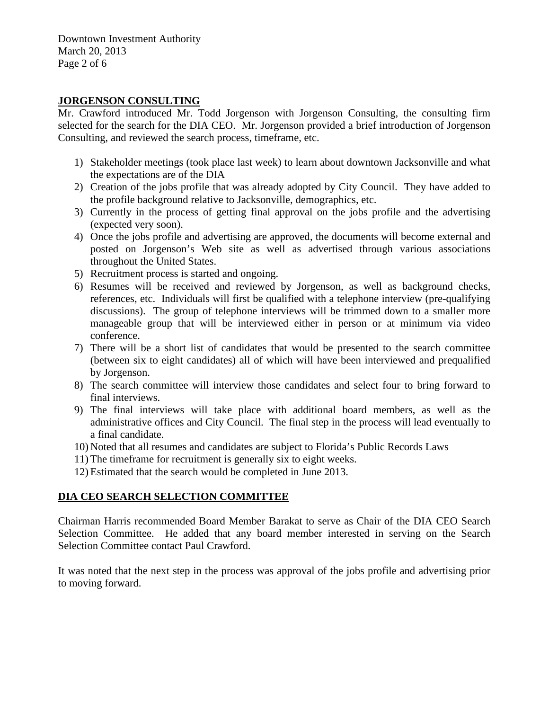Downtown Investment Authority March 20, 2013 Page 2 of 6

# **JORGENSON CONSULTING**

Mr. Crawford introduced Mr. Todd Jorgenson with Jorgenson Consulting, the consulting firm selected for the search for the DIA CEO. Mr. Jorgenson provided a brief introduction of Jorgenson Consulting, and reviewed the search process, timeframe, etc.

- 1) Stakeholder meetings (took place last week) to learn about downtown Jacksonville and what the expectations are of the DIA
- 2) Creation of the jobs profile that was already adopted by City Council. They have added to the profile background relative to Jacksonville, demographics, etc.
- 3) Currently in the process of getting final approval on the jobs profile and the advertising (expected very soon).
- 4) Once the jobs profile and advertising are approved, the documents will become external and posted on Jorgenson's Web site as well as advertised through various associations throughout the United States.
- 5) Recruitment process is started and ongoing.
- 6) Resumes will be received and reviewed by Jorgenson, as well as background checks, references, etc. Individuals will first be qualified with a telephone interview (pre-qualifying discussions). The group of telephone interviews will be trimmed down to a smaller more manageable group that will be interviewed either in person or at minimum via video conference.
- 7) There will be a short list of candidates that would be presented to the search committee (between six to eight candidates) all of which will have been interviewed and prequalified by Jorgenson.
- 8) The search committee will interview those candidates and select four to bring forward to final interviews.
- 9) The final interviews will take place with additional board members, as well as the administrative offices and City Council. The final step in the process will lead eventually to a final candidate.
- 10) Noted that all resumes and candidates are subject to Florida's Public Records Laws
- 11) The timeframe for recruitment is generally six to eight weeks.
- 12) Estimated that the search would be completed in June 2013.

#### **DIA CEO SEARCH SELECTION COMMITTEE**

Chairman Harris recommended Board Member Barakat to serve as Chair of the DIA CEO Search Selection Committee. He added that any board member interested in serving on the Search Selection Committee contact Paul Crawford.

It was noted that the next step in the process was approval of the jobs profile and advertising prior to moving forward.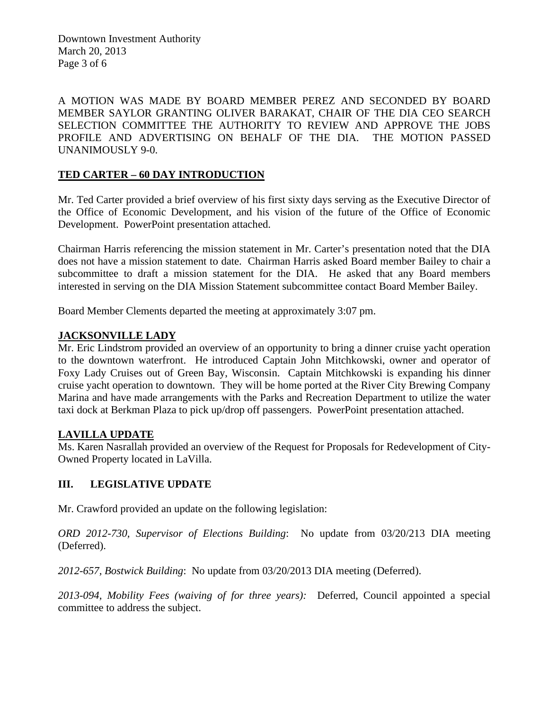Downtown Investment Authority March 20, 2013 Page 3 of 6

A MOTION WAS MADE BY BOARD MEMBER PEREZ AND SECONDED BY BOARD MEMBER SAYLOR GRANTING OLIVER BARAKAT, CHAIR OF THE DIA CEO SEARCH SELECTION COMMITTEE THE AUTHORITY TO REVIEW AND APPROVE THE JOBS PROFILE AND ADVERTISING ON BEHALF OF THE DIA. THE MOTION PASSED UNANIMOUSLY 9-0.

# **TED CARTER – 60 DAY INTRODUCTION**

Mr. Ted Carter provided a brief overview of his first sixty days serving as the Executive Director of the Office of Economic Development, and his vision of the future of the Office of Economic Development. PowerPoint presentation attached.

Chairman Harris referencing the mission statement in Mr. Carter's presentation noted that the DIA does not have a mission statement to date. Chairman Harris asked Board member Bailey to chair a subcommittee to draft a mission statement for the DIA. He asked that any Board members interested in serving on the DIA Mission Statement subcommittee contact Board Member Bailey.

Board Member Clements departed the meeting at approximately 3:07 pm.

# **JACKSONVILLE LADY**

Mr. Eric Lindstrom provided an overview of an opportunity to bring a dinner cruise yacht operation to the downtown waterfront. He introduced Captain John Mitchkowski, owner and operator of Foxy Lady Cruises out of Green Bay, Wisconsin. Captain Mitchkowski is expanding his dinner cruise yacht operation to downtown. They will be home ported at the River City Brewing Company Marina and have made arrangements with the Parks and Recreation Department to utilize the water taxi dock at Berkman Plaza to pick up/drop off passengers. PowerPoint presentation attached.

#### **LAVILLA UPDATE**

Ms. Karen Nasrallah provided an overview of the Request for Proposals for Redevelopment of City-Owned Property located in LaVilla.

#### **III. LEGISLATIVE UPDATE**

Mr. Crawford provided an update on the following legislation:

*ORD 2012-730, Supervisor of Elections Building*: No update from 03/20/213 DIA meeting (Deferred).

*2012-657, Bostwick Building*: No update from 03/20/2013 DIA meeting (Deferred).

*2013-094, Mobility Fees (waiving of for three years):* Deferred, Council appointed a special committee to address the subject.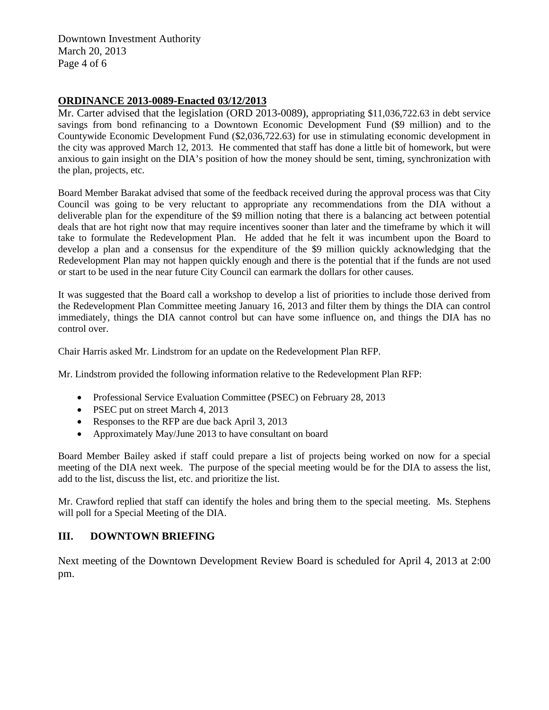Downtown Investment Authority March 20, 2013 Page 4 of 6

# **ORDINANCE 2013-0089-Enacted 03/12/2013**

Mr. Carter advised that the legislation (ORD 2013-0089), appropriating \$11,036,722.63 in debt service savings from bond refinancing to a Downtown Economic Development Fund (\$9 million) and to the Countywide Economic Development Fund (\$2,036,722.63) for use in stimulating economic development in the city was approved March 12, 2013. He commented that staff has done a little bit of homework, but were anxious to gain insight on the DIA's position of how the money should be sent, timing, synchronization with the plan, projects, etc.

Board Member Barakat advised that some of the feedback received during the approval process was that City Council was going to be very reluctant to appropriate any recommendations from the DIA without a deliverable plan for the expenditure of the \$9 million noting that there is a balancing act between potential deals that are hot right now that may require incentives sooner than later and the timeframe by which it will take to formulate the Redevelopment Plan. He added that he felt it was incumbent upon the Board to develop a plan and a consensus for the expenditure of the \$9 million quickly acknowledging that the Redevelopment Plan may not happen quickly enough and there is the potential that if the funds are not used or start to be used in the near future City Council can earmark the dollars for other causes.

It was suggested that the Board call a workshop to develop a list of priorities to include those derived from the Redevelopment Plan Committee meeting January 16, 2013 and filter them by things the DIA can control immediately, things the DIA cannot control but can have some influence on, and things the DIA has no control over.

Chair Harris asked Mr. Lindstrom for an update on the Redevelopment Plan RFP.

Mr. Lindstrom provided the following information relative to the Redevelopment Plan RFP:

- Professional Service Evaluation Committee (PSEC) on February 28, 2013
- PSEC put on street March 4, 2013
- Responses to the RFP are due back April 3, 2013
- Approximately May/June 2013 to have consultant on board

Board Member Bailey asked if staff could prepare a list of projects being worked on now for a special meeting of the DIA next week. The purpose of the special meeting would be for the DIA to assess the list, add to the list, discuss the list, etc. and prioritize the list.

Mr. Crawford replied that staff can identify the holes and bring them to the special meeting. Ms. Stephens will poll for a Special Meeting of the DIA.

#### **III. DOWNTOWN BRIEFING**

Next meeting of the Downtown Development Review Board is scheduled for April 4, 2013 at 2:00 pm.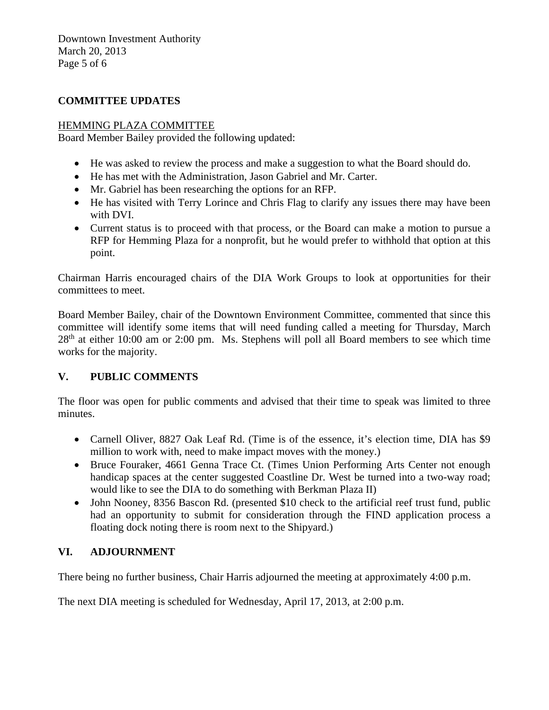Downtown Investment Authority March 20, 2013 Page 5 of 6

# **COMMITTEE UPDATES**

# HEMMING PLAZA COMMITTEE

Board Member Bailey provided the following updated:

- He was asked to review the process and make a suggestion to what the Board should do.
- He has met with the Administration, Jason Gabriel and Mr. Carter.
- Mr. Gabriel has been researching the options for an RFP.
- He has visited with Terry Lorince and Chris Flag to clarify any issues there may have been with DVI.
- Current status is to proceed with that process, or the Board can make a motion to pursue a RFP for Hemming Plaza for a nonprofit, but he would prefer to withhold that option at this point.

Chairman Harris encouraged chairs of the DIA Work Groups to look at opportunities for their committees to meet.

Board Member Bailey, chair of the Downtown Environment Committee, commented that since this committee will identify some items that will need funding called a meeting for Thursday, March  $28<sup>th</sup>$  at either 10:00 am or 2:00 pm. Ms. Stephens will poll all Board members to see which time works for the majority.

# **V. PUBLIC COMMENTS**

The floor was open for public comments and advised that their time to speak was limited to three minutes.

- Carnell Oliver, 8827 Oak Leaf Rd. (Time is of the essence, it's election time, DIA has \$9 million to work with, need to make impact moves with the money.)
- Bruce Fouraker, 4661 Genna Trace Ct. (Times Union Performing Arts Center not enough handicap spaces at the center suggested Coastline Dr. West be turned into a two-way road; would like to see the DIA to do something with Berkman Plaza II)
- John Nooney, 8356 Bascon Rd. (presented \$10 check to the artificial reef trust fund, public had an opportunity to submit for consideration through the FIND application process a floating dock noting there is room next to the Shipyard.)

# **VI. ADJOURNMENT**

There being no further business, Chair Harris adjourned the meeting at approximately 4:00 p.m.

The next DIA meeting is scheduled for Wednesday, April 17, 2013, at 2:00 p.m.